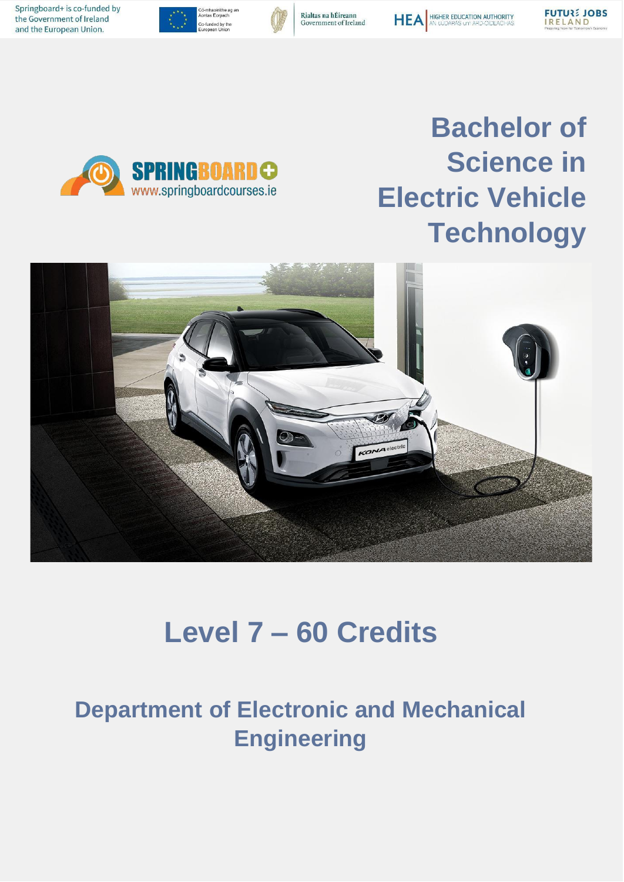Springboard+ is co-funded by the Government of Ireland and the European Union.



**SPRINGBOARDO** www.springboardcourses.ie









# **Bachelor of Science in Electric Vehicle Technology**



# **Level 7 – 60 Credits**

## **Department of Electronic and Mechanical Engineering**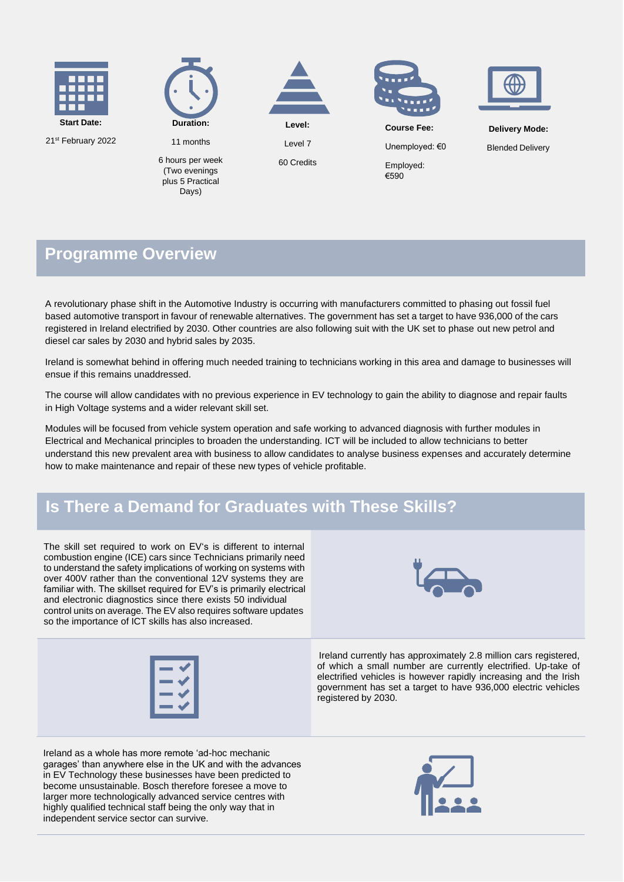

21st February 2022



6 hours per week (Two evenings plus 5 Practical Days)

11 months



Level 7

60 Credits





**Course Fee:**

Unemployed: €0

Employed: €590

**Delivery Mode:**

Blended Delivery

#### **Programme Overview**

A revolutionary phase shift in the Automotive Industry is occurring with manufacturers committed to phasing out fossil fuel based automotive transport in favour of renewable alternatives. The government has set a target to have 936,000 of the cars registered in Ireland electrified by 2030. Other countries are also following suit with the UK set to phase out new petrol and diesel car sales by 2030 and hybrid sales by 2035.

Ireland is somewhat behind in offering much needed training to technicians working in this area and damage to businesses will ensue if this remains unaddressed.

The course will allow candidates with no previous experience in EV technology to gain the ability to diagnose and repair faults in High Voltage systems and a wider relevant skill set.

Modules will be focused from vehicle system operation and safe working to advanced diagnosis with further modules in Electrical and Mechanical principles to broaden the understanding. ICT will be included to allow technicians to better understand this new prevalent area with business to allow candidates to analyse business expenses and accurately determine how to make maintenance and repair of these new types of vehicle profitable.

### **Is There a Demand for Graduates with These Skills?**

The skill set required to work on EV's is different to internal combustion engine (ICE) cars since Technicians primarily need to understand the safety implications of working on systems with over 400V rather than the conventional 12V systems they are familiar with. The skillset required for EV's is primarily electrical and electronic diagnostics since there exists 50 individual control units on average. The EV also requires software updates so the importance of ICT skills has also increased.





Ireland as a whole has more remote 'ad-hoc mechanic garages' than anywhere else in the UK and with the advances in EV Technology these businesses have been predicted to become unsustainable. Bosch therefore foresee a move to larger more technologically advanced service centres with highly qualified technical staff being the only way that in independent service sector can survive.

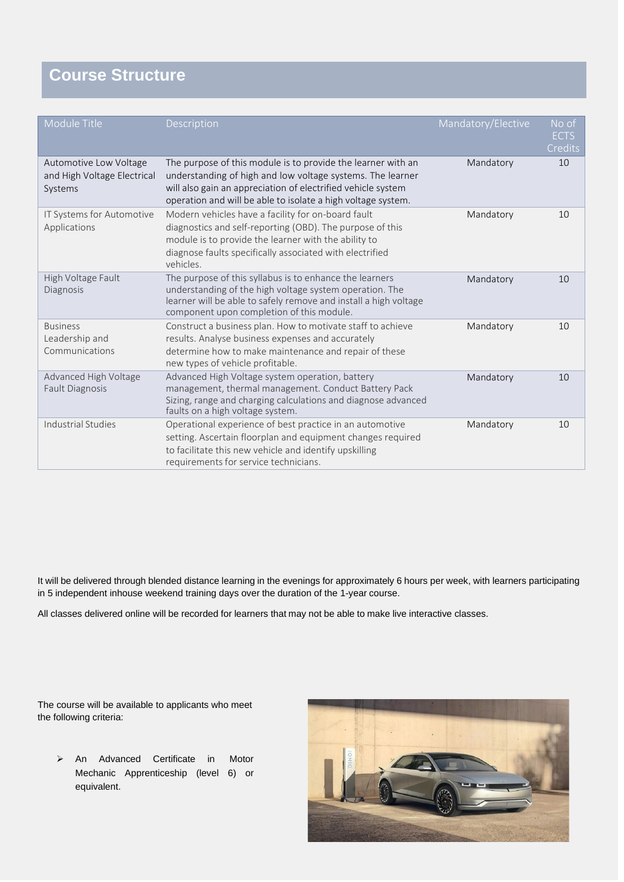## **Course Structure**

| Module Title                                                     | Description                                                                                                                                                                                                                                                | Mandatory/Elective | No of<br><b>ECTS</b><br>Credits |
|------------------------------------------------------------------|------------------------------------------------------------------------------------------------------------------------------------------------------------------------------------------------------------------------------------------------------------|--------------------|---------------------------------|
| Automotive Low Voltage<br>and High Voltage Electrical<br>Systems | The purpose of this module is to provide the learner with an<br>understanding of high and low voltage systems. The learner<br>will also gain an appreciation of electrified vehicle system<br>operation and will be able to isolate a high voltage system. | Mandatory          | 10                              |
| IT Systems for Automotive<br>Applications                        | Modern vehicles have a facility for on-board fault<br>diagnostics and self-reporting (OBD). The purpose of this<br>module is to provide the learner with the ability to<br>diagnose faults specifically associated with electrified<br>vehicles.           | Mandatory          | 10                              |
| High Voltage Fault<br>Diagnosis                                  | The purpose of this syllabus is to enhance the learners<br>understanding of the high voltage system operation. The<br>learner will be able to safely remove and install a high voltage<br>component upon completion of this module.                        | Mandatory          | 10                              |
| <b>Business</b><br>Leadership and<br>Communications              | Construct a business plan. How to motivate staff to achieve<br>results. Analyse business expenses and accurately<br>determine how to make maintenance and repair of these<br>new types of vehicle profitable.                                              | Mandatory          | 10                              |
| Advanced High Voltage<br><b>Fault Diagnosis</b>                  | Advanced High Voltage system operation, battery<br>management, thermal management. Conduct Battery Pack<br>Sizing, range and charging calculations and diagnose advanced<br>faults on a high voltage system.                                               | Mandatory          | 10                              |
| Industrial Studies                                               | Operational experience of best practice in an automotive<br>setting. Ascertain floorplan and equipment changes required<br>to facilitate this new vehicle and identify upskilling<br>requirements for service technicians.                                 | Mandatory          | 10                              |

It will be delivered through blended distance learning in the evenings for approximately 6 hours per week, with learners participating in 5 independent inhouse weekend training days over the duration of the 1-year course.

All classes delivered online will be recorded for learners that may not be able to make live interactive classes.

The course will be available to applicants who meet the following criteria:

➢ An Advanced Certificate in Motor Mechanic Apprenticeship (level 6) or equivalent.